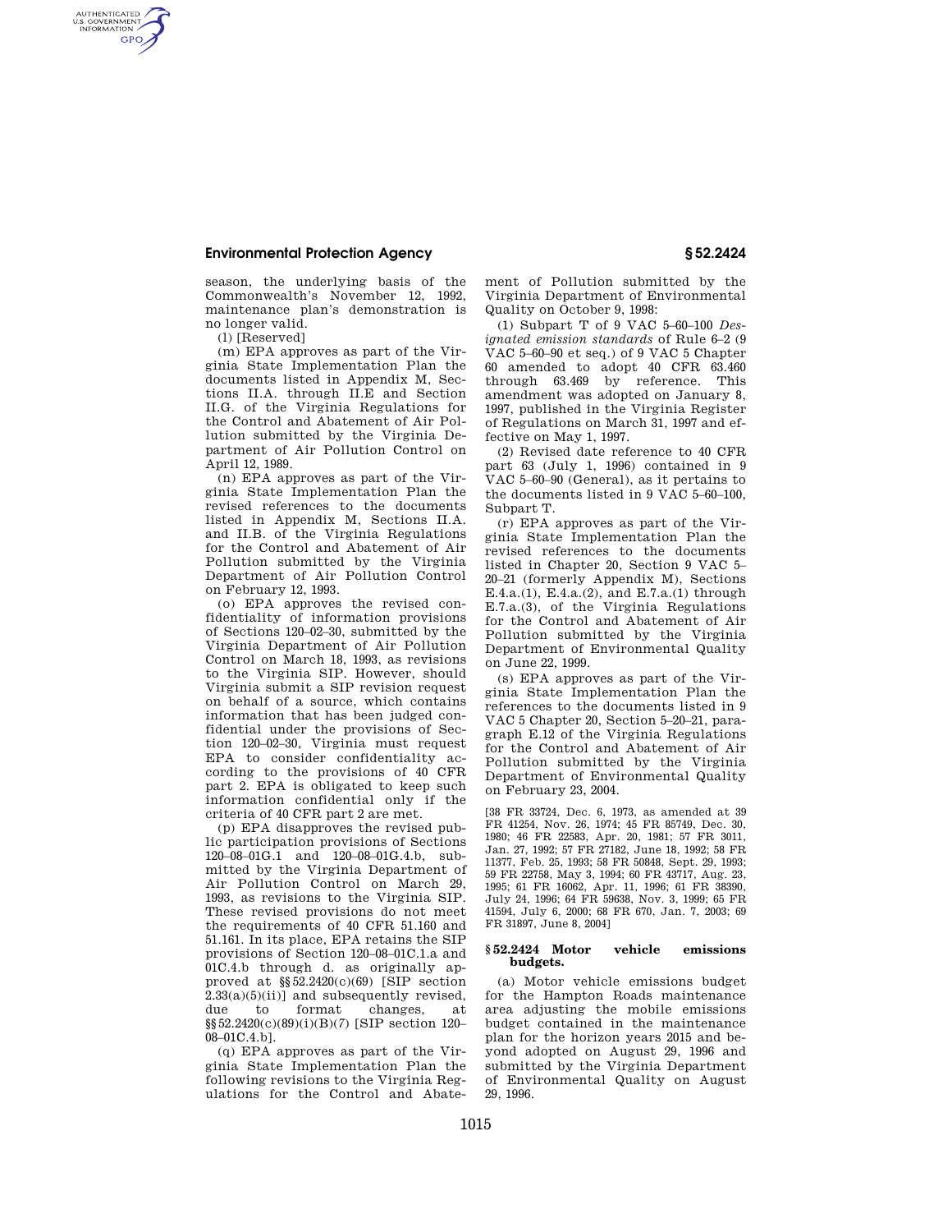# **Environmental Protection Agency § 52.2424**

season, the underlying basis of the Commonwealth's November 12, 1992, maintenance plan's demonstration is no longer valid.

(l) [Reserved]

AUTHENTICATED<br>U.S. GOVERNMENT<br>INFORMATION **GPO** 

> (m) EPA approves as part of the Virginia State Implementation Plan the documents listed in Appendix M, Sections II.A. through II.E and Section II.G. of the Virginia Regulations for the Control and Abatement of Air Pollution submitted by the Virginia Department of Air Pollution Control on April 12, 1989.

> (n) EPA approves as part of the Virginia State Implementation Plan the revised references to the documents listed in Appendix M, Sections II.A. and II.B. of the Virginia Regulations for the Control and Abatement of Air Pollution submitted by the Virginia Department of Air Pollution Control on February 12, 1993.

> (o) EPA approves the revised confidentiality of information provisions of Sections 120–02–30, submitted by the Virginia Department of Air Pollution Control on March 18, 1993, as revisions to the Virginia SIP. However, should Virginia submit a SIP revision request on behalf of a source, which contains information that has been judged confidential under the provisions of Section 120–02–30, Virginia must request EPA to consider confidentiality according to the provisions of 40 CFR part 2. EPA is obligated to keep such information confidential only if the criteria of 40 CFR part 2 are met.

> (p) EPA disapproves the revised public participation provisions of Sections 120–08–01G.1 and 120–08–01G.4.b, submitted by the Virginia Department of Air Pollution Control on March 29, 1993, as revisions to the Virginia SIP. These revised provisions do not meet the requirements of 40 CFR 51.160 and 51.161. In its place, EPA retains the SIP provisions of Section 120–08–01C.1.a and 01C.4.b through d. as originally approved at  $\S$ 52.2420(c)(69) [SIP section  $2.33(a)(5)(ii)$  and subsequently revised,<br>due to format changes, at due to format changes, at §§52.2420(c)(89)(i)(B)(*7*) [SIP section 120– 08–01C.4.b].

(q) EPA approves as part of the Virginia State Implementation Plan the following revisions to the Virginia Regulations for the Control and Abatement of Pollution submitted by the Virginia Department of Environmental Quality on October 9, 1998:

(1) Subpart T of 9 VAC 5–60–100 *Designated emission standards* of Rule 6–2 (9 VAC 5–60–90 et seq.) of 9 VAC 5 Chapter 60 amended to adopt 40 CFR 63.460 through 63.469 by reference. This amendment was adopted on January 8, 1997, published in the Virginia Register of Regulations on March 31, 1997 and effective on May 1, 1997.

(2) Revised date reference to 40 CFR part 63 (July 1, 1996) contained in 9 VAC 5–60–90 (General), as it pertains to the documents listed in 9 VAC 5–60–100, Subpart T.

(r) EPA approves as part of the Virginia State Implementation Plan the revised references to the documents listed in Chapter 20, Section 9 VAC 5– 20–21 (formerly Appendix M), Sections E.4.a.(1), E.4.a.(2), and E.7.a.(1) through E.7.a.(3), of the Virginia Regulations for the Control and Abatement of Air Pollution submitted by the Virginia Department of Environmental Quality on June 22, 1999.

(s) EPA approves as part of the Virginia State Implementation Plan the references to the documents listed in 9 VAC 5 Chapter 20, Section 5–20–21, paragraph E.12 of the Virginia Regulations for the Control and Abatement of Air Pollution submitted by the Virginia Department of Environmental Quality on February 23, 2004.

[38 FR 33724, Dec. 6, 1973, as amended at 39 FR 41254, Nov. 26, 1974; 45 FR 85749, Dec. 30, 1980; 46 FR 22583, Apr. 20, 1981; 57 FR 3011, Jan. 27, 1992; 57 FR 27182, June 18, 1992; 58 FR 11377, Feb. 25, 1993; 58 FR 50848, Sept. 29, 1993; 59 FR 22758, May 3, 1994; 60 FR 43717, Aug. 23, 1995; 61 FR 16062, Apr. 11, 1996; 61 FR 38390, July 24, 1996; 64 FR 59638, Nov. 3, 1999; 65 FR 41594, July 6, 2000; 68 FR 670, Jan. 7, 2003; 69 FR 31897, June 8, 2004]

## **§ 52.2424 Motor vehicle emissions budgets.**

(a) Motor vehicle emissions budget for the Hampton Roads maintenance area adjusting the mobile emissions budget contained in the maintenance plan for the horizon years 2015 and beyond adopted on August 29, 1996 and submitted by the Virginia Department of Environmental Quality on August 29, 1996.